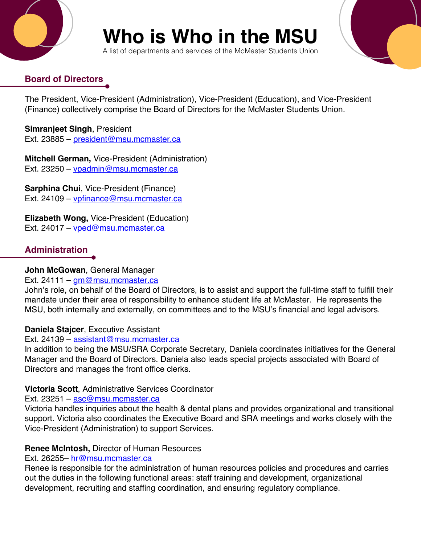

# **Who is Who in the MSU**

A list of departments and services of the McMaster Students Union

# **Board of Directors**

The President, Vice-President (Administration), Vice-President (Education), and Vice-President (Finance) collectively comprise the Board of Directors for the McMaster Students Union.

**Simranjeet Singh**, President Ext. 23885 – president@msu.mcmaster.ca

**Mitchell German,** Vice-President (Administration) Ext. 23250 – vpadmin@msu.mcmaster.ca

**Sarphina Chui**, Vice-President (Finance) Ext. 24109 – vpfinance@msu.mcmaster.ca

**Elizabeth Wong,** Vice-President (Education) Ext. 24017 – vped@msu.mcmaster.ca

# **Administration**

### **John McGowan**, General Manager

#### Ext. 24111 – gm@msu.mcmaster.ca

John's role, on behalf of the Board of Directors, is to assist and support the full-time staff to fulfill their mandate under their area of responsibility to enhance student life at McMaster. He represents the MSU, both internally and externally, on committees and to the MSU's financial and legal advisors.

### **Daniela Stajcer**, Executive Assistant

#### Ext. 24139 – assistant@msu.mcmaster.ca

In addition to being the MSU/SRA Corporate Secretary, Daniela coordinates initiatives for the General Manager and the Board of Directors. Daniela also leads special projects associated with Board of Directors and manages the front office clerks.

### **Victoria Scott**, Administrative Services Coordinator

Ext. 23251 – asc@msu.mcmaster.ca

Victoria handles inquiries about the health & dental plans and provides organizational and transitional support. Victoria also coordinates the Executive Board and SRA meetings and works closely with the Vice-President (Administration) to support Services.

### **Renee McIntosh,** Director of Human Resources

#### Ext. 26255- hr@msu.mcmaster.ca

Renee is responsible for the administration of human resources policies and procedures and carries out the duties in the following functional areas: staff training and development, organizational development, recruiting and staffing coordination, and ensuring regulatory compliance.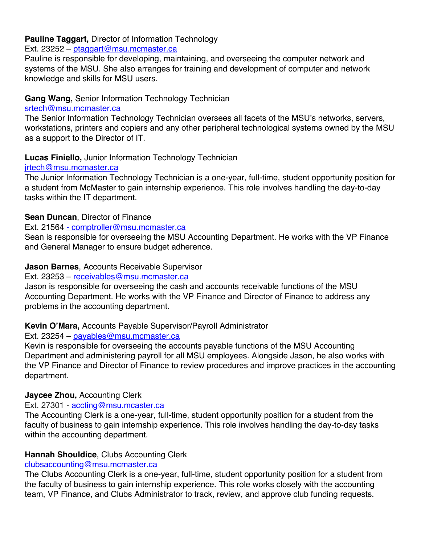#### **Pauline Taggart,** Director of Information Technology

Ext. 23252 – ptaggart@msu.mcmaster.ca

Pauline is responsible for developing, maintaining, and overseeing the computer network and systems of the MSU. She also arranges for training and development of computer and network knowledge and skills for MSU users.

#### **Gang Wang,** Senior Information Technology Technician

#### srtech@msu.mcmaster.ca

The Senior Information Technology Technician oversees all facets of the MSU's networks, servers, workstations, printers and copiers and any other peripheral technological systems owned by the MSU as a support to the Director of IT.

#### **Lucas Finiello,** Junior Information Technology Technician

#### jrtech@msu.mcmaster.ca

The Junior Information Technology Technician is a one-year, full-time, student opportunity position for a student from McMaster to gain internship experience. This role involves handling the day-to-day tasks within the IT department.

#### **Sean Duncan**, Director of Finance

Ext. 21564 - comptroller@msu.mcmaster.ca

Sean is responsible for overseeing the MSU Accounting Department. He works with the VP Finance and General Manager to ensure budget adherence.

#### **Jason Barnes**, Accounts Receivable Supervisor

#### Ext. 23253 – receivables@msu.mcmaster.ca

Jason is responsible for overseeing the cash and accounts receivable functions of the MSU Accounting Department. He works with the VP Finance and Director of Finance to address any problems in the accounting department.

#### **Kevin O'Mara,** Accounts Payable Supervisor/Payroll Administrator

#### Ext. 23254 – payables@msu.mcmaster.ca

Kevin is responsible for overseeing the accounts payable functions of the MSU Accounting Department and administering payroll for all MSU employees. Alongside Jason, he also works with the VP Finance and Director of Finance to review procedures and improve practices in the accounting department.

#### **Jaycee Zhou,** Accounting Clerk

Ext. 27301 - accting@msu.mcaster.ca

The Accounting Clerk is a one-year, full-time, student opportunity position for a student from the faculty of business to gain internship experience. This role involves handling the day-to-day tasks within the accounting department.

#### **Hannah Shouldice**, Clubs Accounting Clerk

#### clubsaccounting@msu.mcmaster.ca

The Clubs Accounting Clerk is a one-year, full-time, student opportunity position for a student from the faculty of business to gain internship experience. This role works closely with the accounting team, VP Finance, and Clubs Administrator to track, review, and approve club funding requests.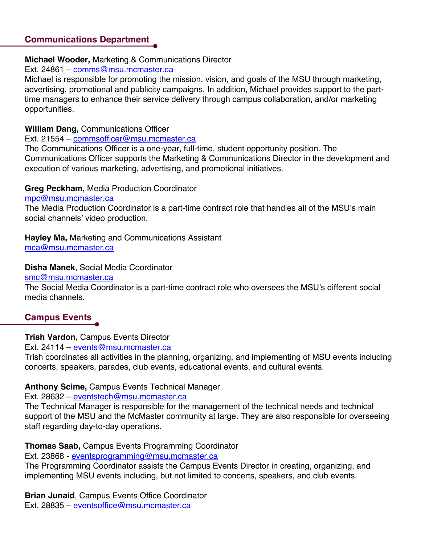#### **Communications Department**

#### **Michael Wooder,** Marketing & Communications Director

#### Ext. 24861 – comms@msu.mcmaster.ca

Michael is responsible for promoting the mission, vision, and goals of the MSU through marketing, advertising, promotional and publicity campaigns. In addition, Michael provides support to the parttime managers to enhance their service delivery through campus collaboration, and/or marketing opportunities.

#### **William Dang,** Communications Officer

#### Ext. 21554 – commsofficer@msu.mcmaster.ca

The Communications Officer is a one-year, full-time, student opportunity position. The Communications Officer supports the Marketing & Communications Director in the development and execution of various marketing, advertising, and promotional initiatives.

#### **Greg Peckham,** Media Production Coordinator

#### mpc@msu.mcmaster.ca

The Media Production Coordinator is a part-time contract role that handles all of the MSU's main social channels' video production.

# **Hayley Ma,** Marketing and Communications Assistant

mca@msu.mcmaster.ca

#### **Disha Manek**, Social Media Coordinator

smc@msu.mcmaster.ca

The Social Media Coordinator is a part-time contract role who oversees the MSU's different social media channels.

# **Campus Events**

#### **Trish Vardon,** Campus Events Director

Ext. 24114 – events@msu.mcmaster.ca

Trish coordinates all activities in the planning, organizing, and implementing of MSU events including concerts, speakers, parades, club events, educational events, and cultural events.

#### **Anthony Scime,** Campus Events Technical Manager

Ext. 28632 – eventstech@msu.mcmaster.ca

The Technical Manager is responsible for the management of the technical needs and technical support of the MSU and the McMaster community at large. They are also responsible for overseeing staff regarding day-to-day operations.

#### **Thomas Saab,** Campus Events Programming Coordinator

Ext. 23868 - eventsprogramming@msu.mcmaster.ca

The Programming Coordinator assists the Campus Events Director in creating, organizing, and implementing MSU events including, but not limited to concerts, speakers, and club events.

**Brian Junaid**, Campus Events Office Coordinator Ext. 28835 – eventsoffice@msu.mcmaster.ca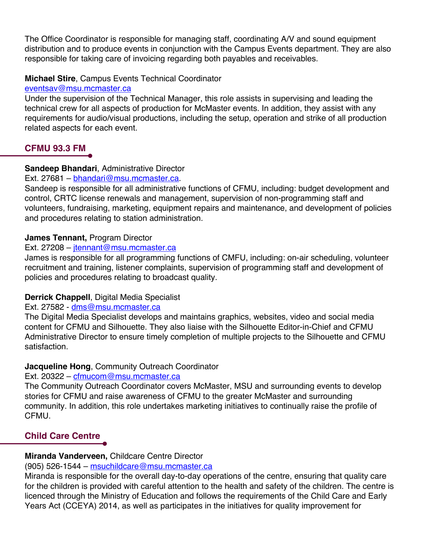The Office Coordinator is responsible for managing staff, coordinating A/V and sound equipment distribution and to produce events in conjunction with the Campus Events department. They are also responsible for taking care of invoicing regarding both payables and receivables.

#### **Michael Stire**, Campus Events Technical Coordinator

#### eventsav@msu.mcmaster.ca

Under the supervision of the Technical Manager, this role assists in supervising and leading the technical crew for all aspects of production for McMaster events. In addition, they assist with any requirements for audio/visual productions, including the setup, operation and strike of all production related aspects for each event.

# **CFMU 93.3 FM**

#### **Sandeep Bhandari**, Administrative Director

#### Ext. 27681 – bhandari@msu.mcmaster.ca.

Sandeep is responsible for all administrative functions of CFMU, including: budget development and control, CRTC license renewals and management, supervision of non-programming staff and volunteers, fundraising, marketing, equipment repairs and maintenance, and development of policies and procedures relating to station administration.

#### **James Tennant,** Program Director

#### Ext. 27208 – jtennant@msu.mcmaster.ca

James is responsible for all programming functions of CMFU, including: on-air scheduling, volunteer recruitment and training, listener complaints, supervision of programming staff and development of policies and procedures relating to broadcast quality.

#### **Derrick Chappell**, Digital Media Specialist

#### Ext. 27582 - dms@msu.mcmaster.ca

The Digital Media Specialist develops and maintains graphics, websites, video and social media content for CFMU and Silhouette. They also liaise with the Silhouette Editor-in-Chief and CFMU Administrative Director to ensure timely completion of multiple projects to the Silhouette and CFMU satisfaction.

#### **Jacqueline Hong**, Community Outreach Coordinator

#### Ext. 20322 – cfmucom@msu.mcmaster.ca

The Community Outreach Coordinator covers McMaster, MSU and surrounding events to develop stories for CFMU and raise awareness of CFMU to the greater McMaster and surrounding community. In addition, this role undertakes marketing initiatives to continually raise the profile of CFMU.

# **Child Care Centre**

### **Miranda Vanderveen,** Childcare Centre Director

#### (905) 526-1544 – msuchildcare@msu.mcmaster.ca

Miranda is responsible for the overall day-to-day operations of the centre, ensuring that quality care for the children is provided with careful attention to the health and safety of the children. The centre is licenced through the Ministry of Education and follows the requirements of the Child Care and Early Years Act (CCEYA) 2014, as well as participates in the initiatives for quality improvement for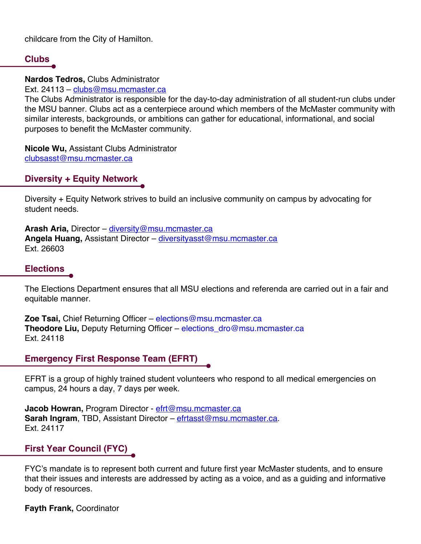childcare from the City of Hamilton.

### **Clubs**

**Nardos Tedros,** Clubs Administrator

Ext. 24113 – clubs@msu.mcmaster.ca

The Clubs Administrator is responsible for the day-to-day administration of all student-run clubs under the MSU banner. Clubs act as a centerpiece around which members of the McMaster community with similar interests, backgrounds, or ambitions can gather for educational, informational, and social purposes to benefit the McMaster community.

**Nicole Wu,** Assistant Clubs Administrator clubsasst@msu.mcmaster.ca

### **Diversity + Equity Network**

Diversity + Equity Network strives to build an inclusive community on campus by advocating for student needs.

**Arash Aria,** Director – diversity@msu.mcmaster.ca **Angela Huang,** Assistant Director – diversityasst@msu.mcmaster.ca Ext. 26603

## **Elections**

The Elections Department ensures that all MSU elections and referenda are carried out in a fair and equitable manner.

**Zoe Tsai,** Chief Returning Officer – elections@msu.mcmaster.ca **Theodore Liu,** Deputy Returning Officer – elections\_dro@msu.mcmaster.ca Ext. 24118

### **Emergency First Response Team (EFRT)**

EFRT is a group of highly trained student volunteers who respond to all medical emergencies on campus, 24 hours a day, 7 days per week.

Jacob Howran, Program Director - efrt@msu.mcmaster.ca **Sarah Ingram**, TBD, Assistant Director – efrtasst@msu.mcmaster.ca. Ext. 24117

### **First Year Council (FYC)**

FYC's mandate is to represent both current and future first year McMaster students, and to ensure that their issues and interests are addressed by acting as a voice, and as a guiding and informative body of resources.

**Fayth Frank,** Coordinator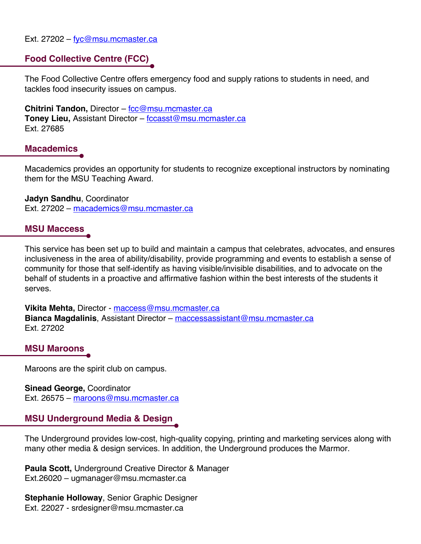Ext. 27202 – fyc@msu.mcmaster.ca

#### **Food Collective Centre (FCC)**

The Food Collective Centre offers emergency food and supply rations to students in need, and tackles food insecurity issues on campus.

**Chitrini Tandon,** Director – fcc@msu.mcmaster.ca **Toney Lieu,** Assistant Director – fccasst@msu.mcmaster.ca Ext. 27685

#### **Macademics**

Macademics provides an opportunity for students to recognize exceptional instructors by nominating them for the MSU Teaching Award.

**Jadyn Sandhu**, Coordinator Ext. 27202 – macademics@msu.mcmaster.ca

#### **MSU Maccess**

This service has been set up to build and maintain a campus that celebrates, advocates, and ensures inclusiveness in the area of ability/disability, provide programming and events to establish a sense of community for those that self-identify as having visible/invisible disabilities, and to advocate on the behalf of students in a proactive and affirmative fashion within the best interests of the students it serves.

**Vikita Mehta,** Director - maccess@msu.mcmaster.ca **Bianca Magdalinis**, Assistant Director – maccessassistant@msu.mcmaster.ca Ext. 27202

#### **MSU Maroons**

Maroons are the spirit club on campus.

**Sinead George,** Coordinator Ext. 26575 – maroons@msu.mcmaster.ca

#### **MSU Underground Media & Design**

The Underground provides low-cost, high-quality copying, printing and marketing services along with many other media & design services. In addition, the Underground produces the Marmor.

**Paula Scott,** Underground Creative Director & Manager Ext.26020 – ugmanager@msu.mcmaster.ca

**Stephanie Holloway**, Senior Graphic Designer Ext. 22027 - srdesigner@msu.mcmaster.ca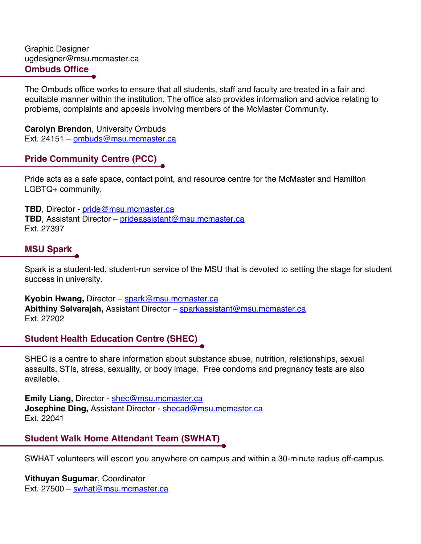Graphic Designer ugdesigner@msu.mcmaster.ca **Ombuds Office**

The Ombuds office works to ensure that all students, staff and faculty are treated in a fair and equitable manner within the institution, The office also provides information and advice relating to problems, complaints and appeals involving members of the McMaster Community.

**Carolyn Brendon**, University Ombuds Ext. 24151 – ombuds@msu.mcmaster.ca

### **Pride Community Centre (PCC)**

Pride acts as a safe space, contact point, and resource centre for the McMaster and Hamilton LGBTQ+ community.

**TBD**, Director - pride@msu.mcmaster.ca **TBD**, Assistant Director – prideassistant@msu.mcmaster.ca Ext. 27397

### **MSU Spark**

Spark is a student-led, student-run service of the MSU that is devoted to setting the stage for student success in university.

**Kyobin Hwang,** Director – spark@msu.mcmaster.ca **Abithiny Selvarajah,** Assistant Director – sparkassistant@msu.mcmaster.ca Ext. 27202

# **Student Health Education Centre (SHEC)**

SHEC is a centre to share information about substance abuse, nutrition, relationships, sexual assaults, STIs, stress, sexuality, or body image. Free condoms and pregnancy tests are also available.

**Emily Liang,** Director - shec@msu.mcmaster.ca **Josephine Ding, Assistant Director - shecad@msu.mcmaster.ca** Ext. 22041

### **Student Walk Home Attendant Team (SWHAT)**

SWHAT volunteers will escort you anywhere on campus and within a 30-minute radius off-campus.

**Vithuyan Sugumar**, Coordinator Ext. 27500 – swhat@msu.mcmaster.ca